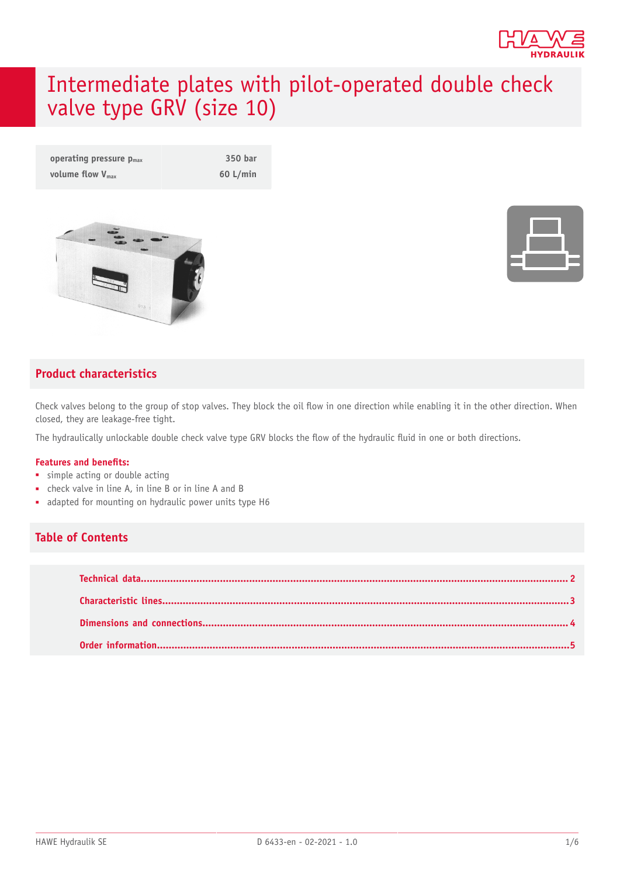

# Intermediate plates with pilot-operated double check valve type GRV (size 10)

| operating pressure $p_{max}$ | 350 bar    |
|------------------------------|------------|
| volume flow $V_{\text{max}}$ | $60$ L/min |





### **Product characteristics**

Check valves belong to the group of stop valves. They block the oil flow in one direction while enabling it in the other direction. When closed, they are leakage-free tight.

The hydraulically unlockable double check valve type GRV blocks the flow of the hydraulic fluid in one or both directions.

#### **Features and benets:**

- simple acting or double acting
- check valve in line A, in line B or in line A and B
- adapted for mounting on hydraulic power units type H6

### **Table of Contents**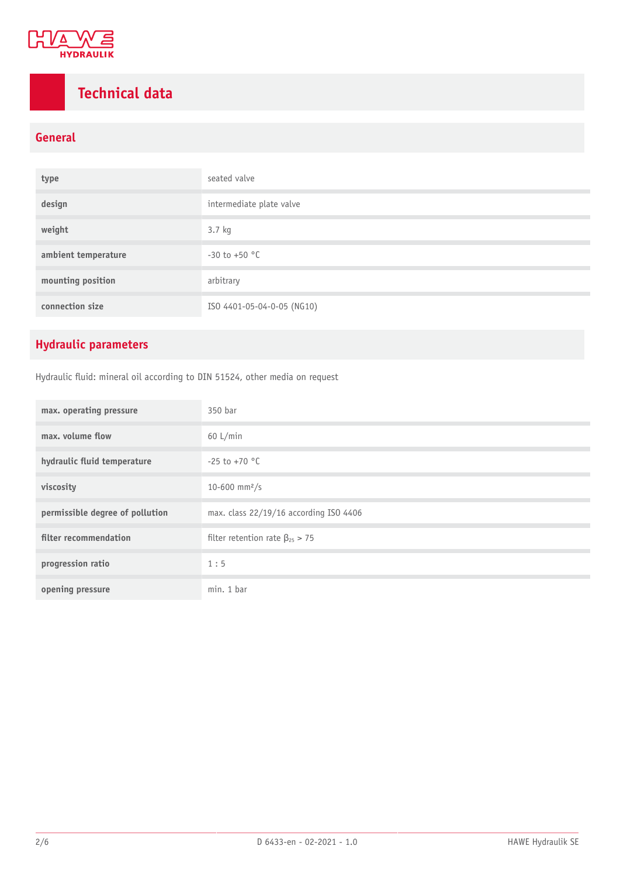

# <span id="page-1-0"></span>**Technical data**

### **General**

| type                | seated valve               |
|---------------------|----------------------------|
| design              | intermediate plate valve   |
| weight              | 3.7 kg                     |
| ambient temperature | $-30$ to $+50$ °C          |
| mounting position   | arbitrary                  |
| connection size     | ISO 4401-05-04-0-05 (NG10) |

### **Hydraulic parameters**

Hydraulic fluid: mineral oil according to DIN 51524, other media on request

| max. operating pressure         | 350 bar                                 |
|---------------------------------|-----------------------------------------|
| max. volume flow                | $60$ L/min                              |
| hydraulic fluid temperature     | $-25$ to $+70$ °C                       |
| viscosity                       | 10-600 mm <sup>2</sup> /s               |
| permissible degree of pollution | max. class 22/19/16 according ISO 4406  |
| filter recommendation           | filter retention rate $\beta_{25} > 75$ |
| progression ratio               | 1:5                                     |
| opening pressure                | min. 1 bar                              |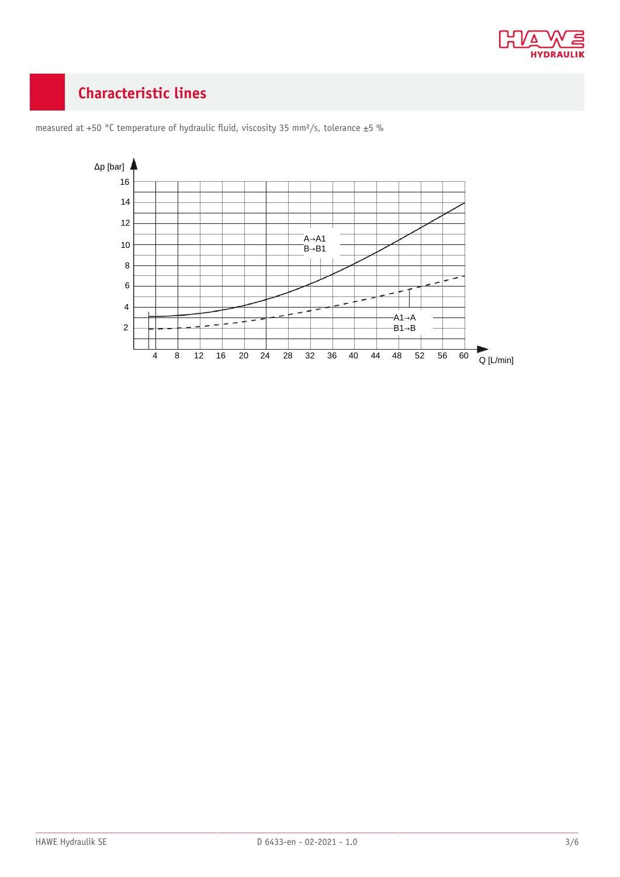

# <span id="page-2-0"></span>**Characteristic lines**



measured at +50 °C temperature of hydraulic fluid, viscosity 35 mm<sup>2</sup>/s, tolerance ±5 %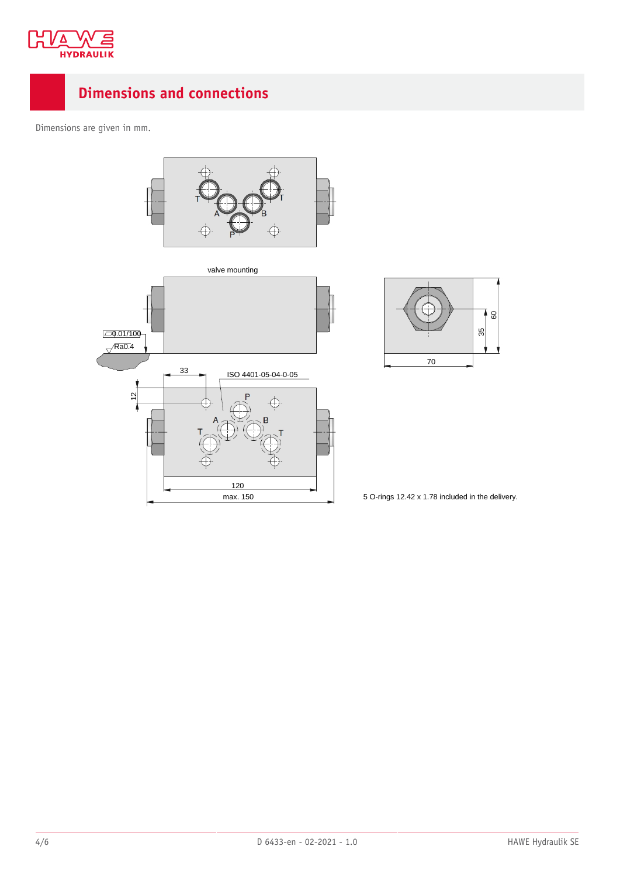

# <span id="page-3-0"></span>**Dimensions and connections**

Dimensions are given in mm.







5 O-rings 12.42 x 1.78 included in the delivery.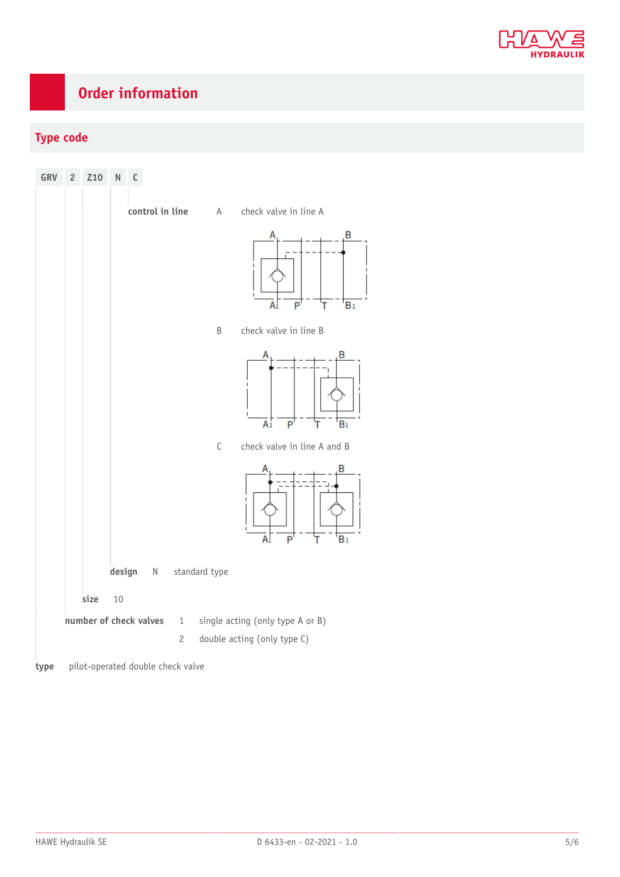

# <span id="page-4-0"></span>**Order information**

### **Type code**



**type** pilot-operated double check valve